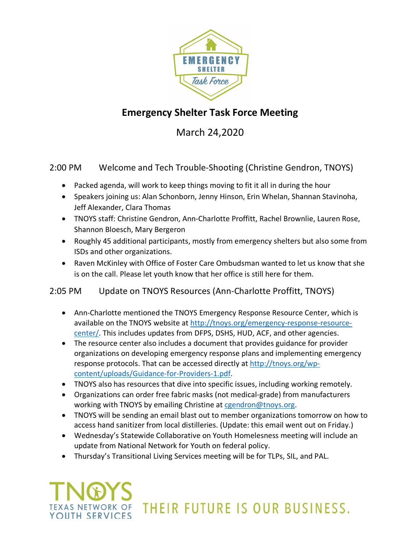

### **Emergency Shelter Task Force Meeting**

March 24,2020

2:00 PM Welcome and Tech Trouble-Shooting (Christine Gendron, TNOYS)

- Packed agenda, will work to keep things moving to fit it all in during the hour
- Speakers joining us: Alan Schonborn, Jenny Hinson, Erin Whelan, Shannan Stavinoha, Jeff Alexander, Clara Thomas
- TNOYS staff: Christine Gendron, Ann-Charlotte Proffitt, Rachel Brownlie, Lauren Rose, Shannon Bloesch, Mary Bergeron
- Roughly 45 additional participants, mostly from emergency shelters but also some from ISDs and other organizations.
- Raven McKinley with Office of Foster Care Ombudsman wanted to let us know that she is on the call. Please let youth know that her office is still here for them.

#### 2:05 PM Update on TNOYS Resources (Ann-Charlotte Proffitt, TNOYS)

- Ann-Charlotte mentioned the TNOYS Emergency Response Resource Center, which is available on the TNOYS website at http://tnoys.org/emergency-response-resourcecenter/. This includes updates from DFPS, DSHS, HUD, ACF, and other agencies.
- The resource center also includes a document that provides guidance for provider organizations on developing emergency response plans and implementing emergency response protocols. That can be accessed directly at http://tnoys.org/wpcontent/uploads/Guidance-for-Providers-1.pdf.
- TNOYS also has resources that dive into specific issues, including working remotely.
- Organizations can order free fabric masks (not medical-grade) from manufacturers working with TNOYS by emailing Christine at cgendron@tnoys.org.
- TNOYS will be sending an email blast out to member organizations tomorrow on how to access hand sanitizer from local distilleries. (Update: this email went out on Friday.)
- Wednesday's Statewide Collaborative on Youth Homelesness meeting will include an update from National Network for Youth on federal policy.
- Thursday's Transitional Living Services meeting will be for TLPs, SIL, and PAL.

## THEIR FUTURE IS OUR BUSINESS. YOUTH SERVICES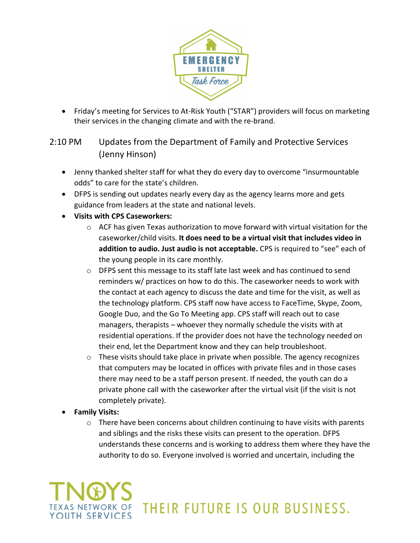

• Friday's meeting for Services to At-Risk Youth ("STAR") providers will focus on marketing their services in the changing climate and with the re-brand.

#### 2:10 PM Updates from the Department of Family and Protective Services (Jenny Hinson)

- Jenny thanked shelter staff for what they do every day to overcome "insurmountable odds" to care for the state's children.
- DFPS is sending out updates nearly every day as the agency learns more and gets guidance from leaders at the state and national levels.
- **Visits with CPS Caseworkers:**
	- $\circ$  ACF has given Texas authorization to move forward with virtual visitation for the caseworker/child visits. **It does need to be a virtual visit that includes video in addition to audio. Just audio is not acceptable.** CPS is required to "see" each of the young people in its care monthly.
	- $\circ$  DFPS sent this message to its staff late last week and has continued to send reminders w/ practices on how to do this. The caseworker needs to work with the contact at each agency to discuss the date and time for the visit, as well as the technology platform. CPS staff now have access to FaceTime, Skype, Zoom, Google Duo, and the Go To Meeting app. CPS staff will reach out to case managers, therapists – whoever they normally schedule the visits with at residential operations. If the provider does not have the technology needed on their end, let the Department know and they can help troubleshoot.
	- $\circ$  These visits should take place in private when possible. The agency recognizes that computers may be located in offices with private files and in those cases there may need to be a staff person present. If needed, the youth can do a private phone call with the caseworker after the virtual visit (if the visit is not completely private).
- **Family Visits:**
	- $\circ$  There have been concerns about children continuing to have visits with parents and siblings and the risks these visits can present to the operation. DFPS understands these concerns and is working to address them where they have the authority to do so. Everyone involved is worried and uncertain, including the

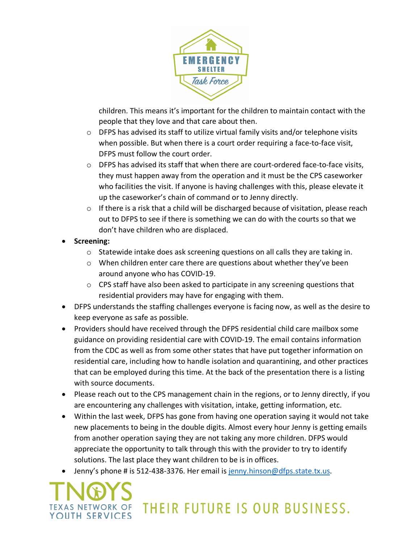

children. This means it's important for the children to maintain contact with the people that they love and that care about then.

- o DFPS has advised its staff to utilize virtual family visits and/or telephone visits when possible. But when there is a court order requiring a face-to-face visit, DFPS must follow the court order.
- o DFPS has advised its staff that when there are court-ordered face-to-face visits, they must happen away from the operation and it must be the CPS caseworker who facilities the visit. If anyone is having challenges with this, please elevate it up the caseworker's chain of command or to Jenny directly.
- $\circ$  If there is a risk that a child will be discharged because of visitation, please reach out to DFPS to see if there is something we can do with the courts so that we don't have children who are displaced.
- **Screening:**
	- $\circ$  Statewide intake does ask screening questions on all calls they are taking in.
	- $\circ$  When children enter care there are questions about whether they've been around anyone who has COVID-19.
	- $\circ$  CPS staff have also been asked to participate in any screening questions that residential providers may have for engaging with them.
- DFPS understands the staffing challenges everyone is facing now, as well as the desire to keep everyone as safe as possible.
- Providers should have received through the DFPS residential child care mailbox some guidance on providing residential care with COVID-19. The email contains information from the CDC as well as from some other states that have put together information on residential care, including how to handle isolation and quarantining, and other practices that can be employed during this time. At the back of the presentation there is a listing with source documents.
- Please reach out to the CPS management chain in the regions, or to Jenny directly, if you are encountering any challenges with visitation, intake, getting information, etc.
- Within the last week, DFPS has gone from having one operation saying it would not take new placements to being in the double digits. Almost every hour Jenny is getting emails from another operation saying they are not taking any more children. DFPS would appreciate the opportunity to talk through this with the provider to try to identify solutions. The last place they want children to be is in offices.
- Jenny's phone # is 512-438-3376. Her email is jenny.hinson@dfps.state.tx.us.

# THEIR FUTURE IS OUR BUSINESS. YOUTH SERVICES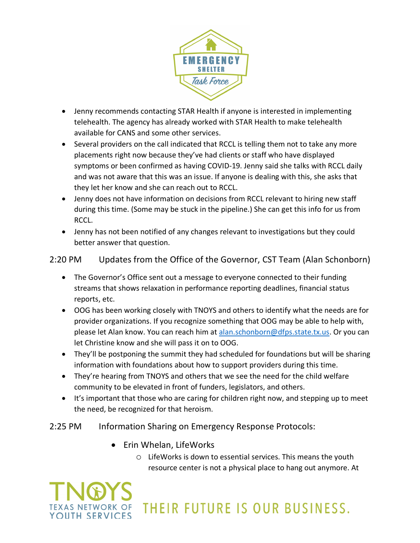

- Jenny recommends contacting STAR Health if anyone is interested in implementing telehealth. The agency has already worked with STAR Health to make telehealth available for CANS and some other services.
- Several providers on the call indicated that RCCL is telling them not to take any more placements right now because they've had clients or staff who have displayed symptoms or been confirmed as having COVID-19. Jenny said she talks with RCCL daily and was not aware that this was an issue. If anyone is dealing with this, she asks that they let her know and she can reach out to RCCL.
- Jenny does not have information on decisions from RCCL relevant to hiring new staff during this time. (Some may be stuck in the pipeline.) She can get this info for us from RCCL.
- Jenny has not been notified of any changes relevant to investigations but they could better answer that question.

#### 2:20 PM Updates from the Office of the Governor, CST Team (Alan Schonborn)

- The Governor's Office sent out a message to everyone connected to their funding streams that shows relaxation in performance reporting deadlines, financial status reports, etc.
- OOG has been working closely with TNOYS and others to identify what the needs are for provider organizations. If you recognize something that OOG may be able to help with, please let Alan know. You can reach him at alan.schonborn@dfps.state.tx.us. Or you can let Christine know and she will pass it on to OOG.
- They'll be postponing the summit they had scheduled for foundations but will be sharing information with foundations about how to support providers during this time.
- They're hearing from TNOYS and others that we see the need for the child welfare community to be elevated in front of funders, legislators, and others.
- It's important that those who are caring for children right now, and stepping up to meet the need, be recognized for that heroism.

#### 2:25 PM Information Sharing on Emergency Response Protocols:

• Erin Whelan, LifeWorks

YOUTH SERVICES

o LifeWorks is down to essential services. This means the youth resource center is not a physical place to hang out anymore. At

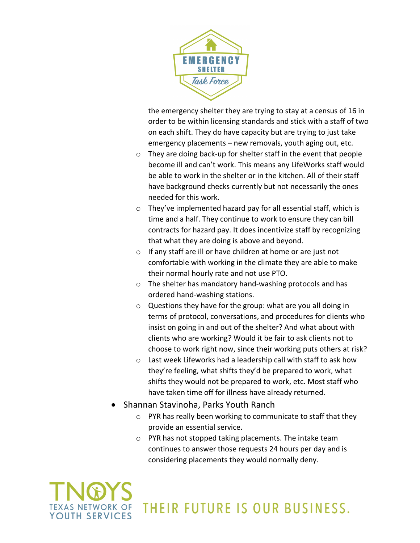

the emergency shelter they are trying to stay at a census of 16 in order to be within licensing standards and stick with a staff of two on each shift. They do have capacity but are trying to just take emergency placements – new removals, youth aging out, etc.

- o They are doing back-up for shelter staff in the event that people become ill and can't work. This means any LifeWorks staff would be able to work in the shelter or in the kitchen. All of their staff have background checks currently but not necessarily the ones needed for this work.
- o They've implemented hazard pay for all essential staff, which is time and a half. They continue to work to ensure they can bill contracts for hazard pay. It does incentivize staff by recognizing that what they are doing is above and beyond.
- o If any staff are ill or have children at home or are just not comfortable with working in the climate they are able to make their normal hourly rate and not use PTO.
- o The shelter has mandatory hand-washing protocols and has ordered hand-washing stations.
- o Questions they have for the group: what are you all doing in terms of protocol, conversations, and procedures for clients who insist on going in and out of the shelter? And what about with clients who are working? Would it be fair to ask clients not to choose to work right now, since their working puts others at risk?
- o Last week Lifeworks had a leadership call with staff to ask how they're feeling, what shifts they'd be prepared to work, what shifts they would not be prepared to work, etc. Most staff who have taken time off for illness have already returned.
- Shannan Stavinoha, Parks Youth Ranch
	- o PYR has really been working to communicate to staff that they provide an essential service.
	- o PYR has not stopped taking placements. The intake team continues to answer those requests 24 hours per day and is considering placements they would normally deny.



### THEIR FUTURE IS OUR BUSINESS.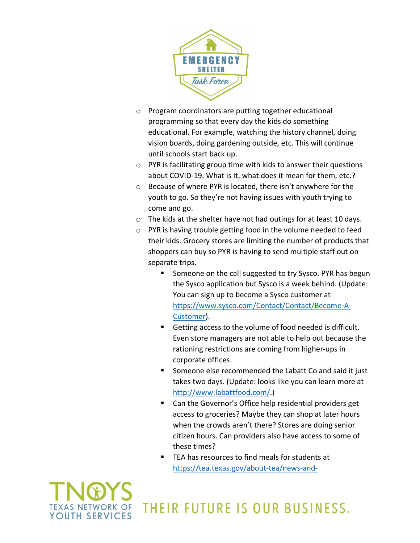

- o Program coordinators are putting together educational programming so that every day the kids do something educational. For example, watching the history channel, doing vision boards, doing gardening outside, etc. This will continue until schools start back up.
- $\circ$  PYR is facilitating group time with kids to answer their questions about COVID-19. What is it, what does it mean for them, etc.?
- o Because of where PYR is located, there isn't anywhere for the youth to go. So they're not having issues with youth trying to come and go.
- o The kids at the shelter have not had outings for at least 10 days.
- o PYR is having trouble getting food in the volume needed to feed their kids. Grocery stores are limiting the number of products that shoppers can buy so PYR is having to send multiple staff out on separate trips.
	- § Someone on the call suggested to try Sysco. PYR has begun the Sysco application but Sysco is a week behind. (Update: You can sign up to become a Sysco customer at https://www.sysco.com/Contact/Contact/Become-A-Customer).
	- Getting access to the volume of food needed is difficult. Even store managers are not able to help out because the rationing restrictions are coming from higher-ups in corporate offices.
	- Someone else recommended the Labatt Co and said it just takes two days. (Update: looks like you can learn more at http://www.labattfood.com/.)
	- Can the Governor's Office help residential providers get access to groceries? Maybe they can shop at later hours when the crowds aren't there? Stores are doing senior citizen hours. Can providers also have access to some of these times?
	- TEA has resources to find meals for students at https://tea.texas.gov/about-tea/news-and-

THEIR FUTURE IS OUR BUSINESS.

YOUTH SERVICES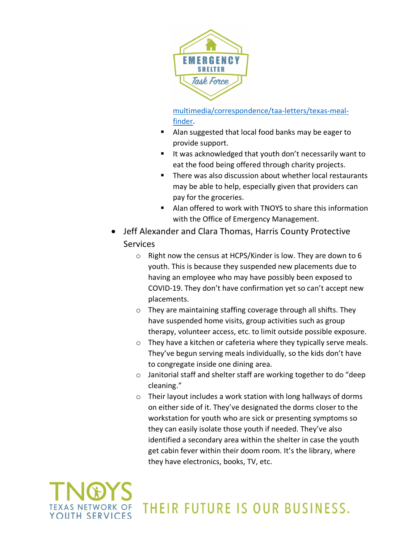

multimedia/correspondence/taa-letters/texas-mealfinder.

- Alan suggested that local food banks may be eager to provide support.
- It was acknowledged that youth don't necessarily want to eat the food being offered through charity projects.
- There was also discussion about whether local restaurants may be able to help, especially given that providers can pay for the groceries.
- Alan offered to work with TNOYS to share this information with the Office of Emergency Management.
- Jeff Alexander and Clara Thomas, Harris County Protective **Services** 
	- o Right now the census at HCPS/Kinder is low. They are down to 6 youth. This is because they suspended new placements due to having an employee who may have possibly been exposed to COVID-19. They don't have confirmation yet so can't accept new placements.
	- o They are maintaining staffing coverage through all shifts. They have suspended home visits, group activities such as group therapy, volunteer access, etc. to limit outside possible exposure.
	- o They have a kitchen or cafeteria where they typically serve meals. They've begun serving meals individually, so the kids don't have to congregate inside one dining area.
	- o Janitorial staff and shelter staff are working together to do "deep cleaning."
	- o Their layout includes a work station with long hallways of dorms on either side of it. They've designated the dorms closer to the workstation for youth who are sick or presenting symptoms so they can easily isolate those youth if needed. They've also identified a secondary area within the shelter in case the youth get cabin fever within their doom room. It's the library, where they have electronics, books, TV, etc.

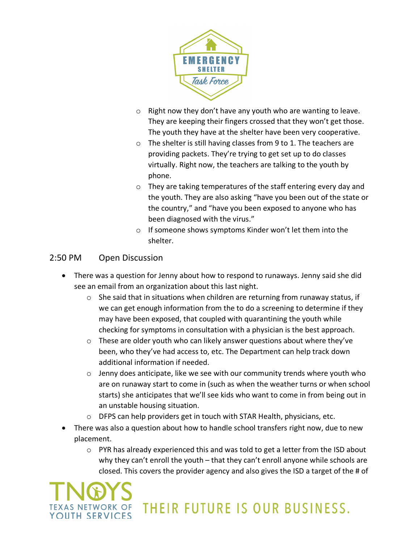

- $\circ$  Right now they don't have any youth who are wanting to leave. They are keeping their fingers crossed that they won't get those. The youth they have at the shelter have been very cooperative.
- o The shelter is still having classes from 9 to 1. The teachers are providing packets. They're trying to get set up to do classes virtually. Right now, the teachers are talking to the youth by phone.
- o They are taking temperatures of the staff entering every day and the youth. They are also asking "have you been out of the state or the country," and "have you been exposed to anyone who has been diagnosed with the virus."
- o If someone shows symptoms Kinder won't let them into the shelter.

#### 2:50 PM Open Discussion

- There was a question for Jenny about how to respond to runaways. Jenny said she did see an email from an organization about this last night.
	- $\circ$  She said that in situations when children are returning from runaway status, if we can get enough information from the to do a screening to determine if they may have been exposed, that coupled with quarantining the youth while checking for symptoms in consultation with a physician is the best approach.
	- $\circ$  These are older youth who can likely answer questions about where they've been, who they've had access to, etc. The Department can help track down additional information if needed.
	- o Jenny does anticipate, like we see with our community trends where youth who are on runaway start to come in (such as when the weather turns or when school starts) she anticipates that we'll see kids who want to come in from being out in an unstable housing situation.
	- o DFPS can help providers get in touch with STAR Health, physicians, etc.
- There was also a question about how to handle school transfers right now, due to new placement.
	- $\circ$  PYR has already experienced this and was told to get a letter from the ISD about why they can't enroll the youth – that they can't enroll anyone while schools are closed. This covers the provider agency and also gives the ISD a target of the # of